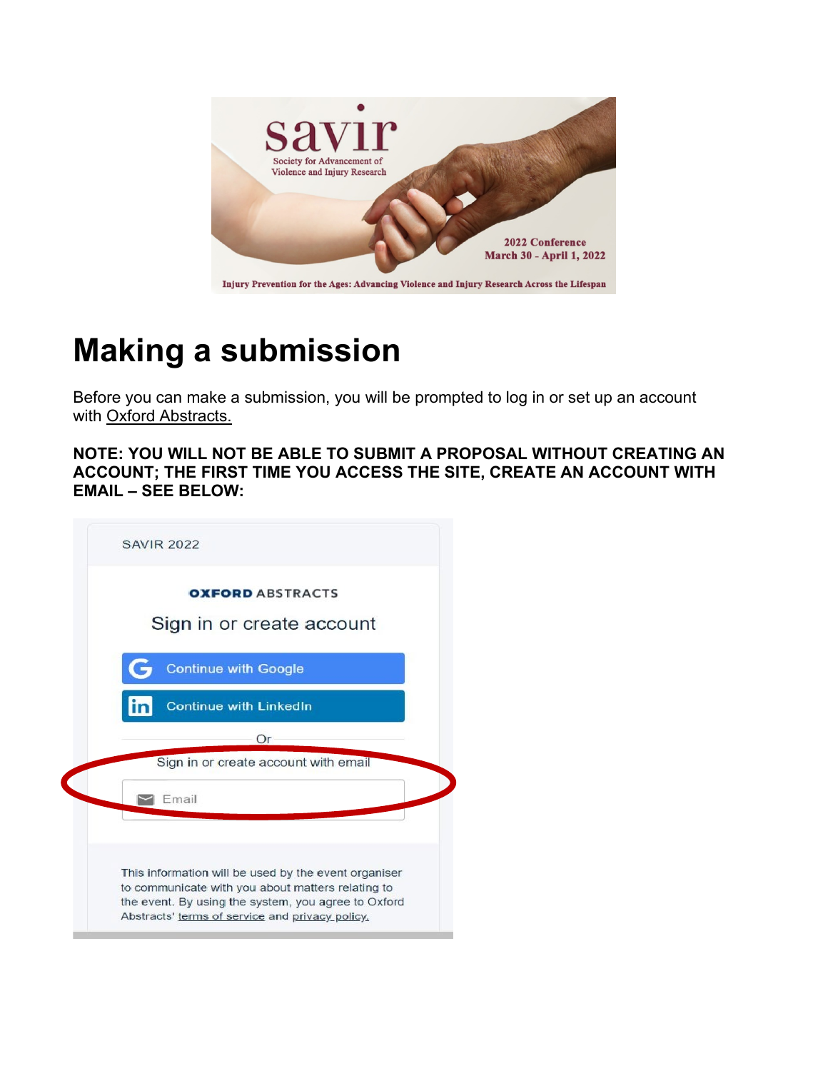

## **Making a submission**

Before you can make a submission, you will be prompted to log in or set up an account with [Oxford Abstracts.](http://app.oxfordabstracts.com/)

**NOTE: YOU WILL NOT BE ABLE TO SUBMIT A PROPOSAL WITHOUT CREATING AN ACCOUNT; THE FIRST TIME YOU ACCESS THE SITE, CREATE AN ACCOUNT WITH EMAIL – SEE BELOW:**

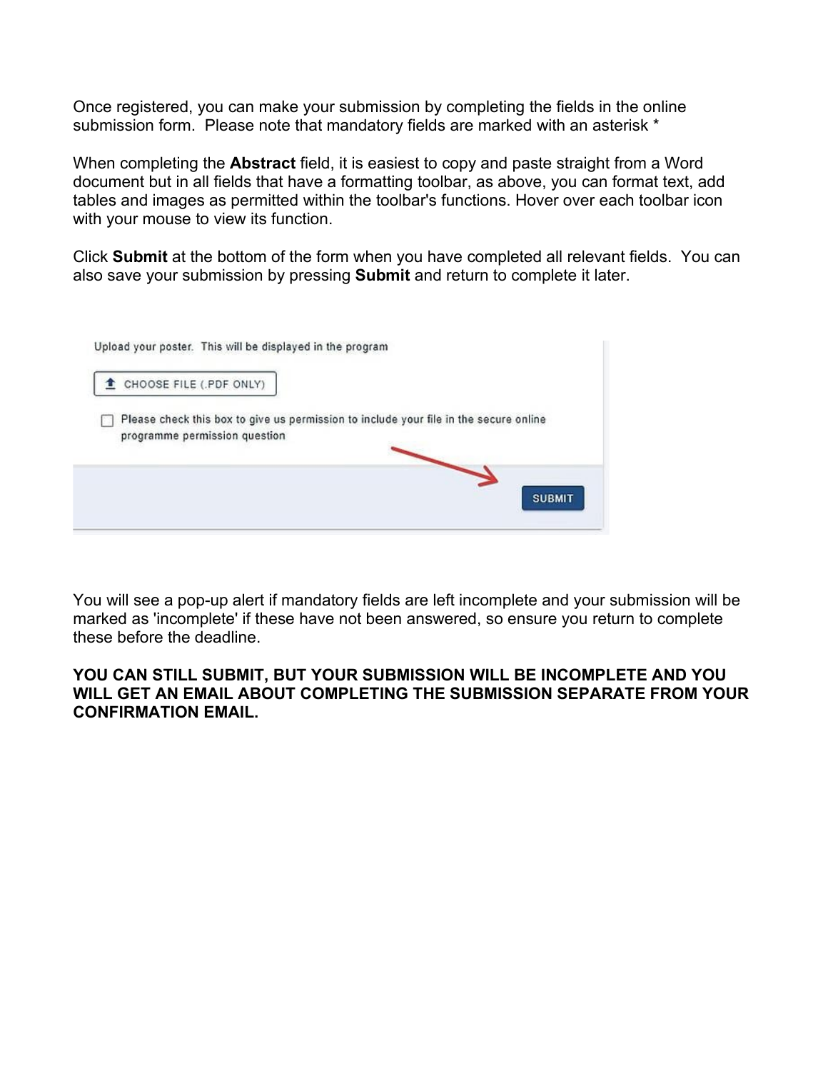Once registered, you can make your submission by completing the fields in the online submission form. Please note that mandatory fields are marked with an asterisk \*

When completing the **Abstract** field, it is easiest to copy and paste straight from a Word document but in all fields that have a formatting toolbar, as above, you can format text, add tables and images as permitted within the toolbar's functions. Hover over each toolbar icon with your mouse to view its function.

Click **Submit** at the bottom of the form when you have completed all relevant fields. You can also save your submission by pressing **Submit** and return to complete it later.

| CHOOSE FILE (.PDF ONLY)                                                               |  |
|---------------------------------------------------------------------------------------|--|
| Please check this box to give us permission to include your file in the secure online |  |
| programme permission question                                                         |  |
|                                                                                       |  |

You will see a pop-up alert if mandatory fields are left incomplete and your submission will be marked as 'incomplete' if these have not been answered, so ensure you return to complete these before the deadline.

## **YOU CAN STILL SUBMIT, BUT YOUR SUBMISSION WILL BE INCOMPLETE AND YOU WILL GET AN EMAIL ABOUT COMPLETING THE SUBMISSION SEPARATE FROM YOUR CONFIRMATION EMAIL.**